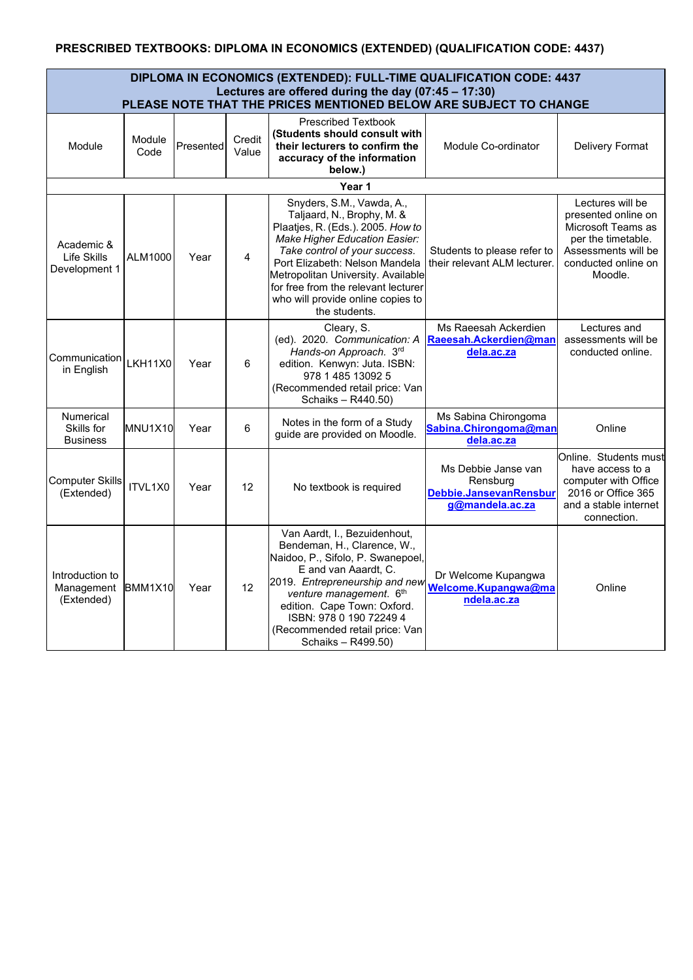## **PRESCRIBED TEXTBOOKS: DIPLOMA IN ECONOMICS (EXTENDED) (QUALIFICATION CODE: 4437)**

| DIPLOMA IN ECONOMICS (EXTENDED): FULL-TIME QUALIFICATION CODE: 4437<br>Lectures are offered during the day (07:45 - 17:30) |                |           |                 |                                                                                                                                                                                                                                                                                                                                     |                                                                              |                                                                                                                                              |  |  |
|----------------------------------------------------------------------------------------------------------------------------|----------------|-----------|-----------------|-------------------------------------------------------------------------------------------------------------------------------------------------------------------------------------------------------------------------------------------------------------------------------------------------------------------------------------|------------------------------------------------------------------------------|----------------------------------------------------------------------------------------------------------------------------------------------|--|--|
| PLEASE NOTE THAT THE PRICES MENTIONED BELOW ARE SUBJECT TO CHANGE                                                          |                |           |                 |                                                                                                                                                                                                                                                                                                                                     |                                                                              |                                                                                                                                              |  |  |
| Module                                                                                                                     | Module<br>Code | Presented | Credit<br>Value | <b>Prescribed Textbook</b><br>(Students should consult with<br>their lecturers to confirm the<br>accuracy of the information<br>below.)                                                                                                                                                                                             | Module Co-ordinator                                                          | Delivery Format                                                                                                                              |  |  |
| Year 1                                                                                                                     |                |           |                 |                                                                                                                                                                                                                                                                                                                                     |                                                                              |                                                                                                                                              |  |  |
| Academic &<br>Life Skills<br>Development 1                                                                                 | ALM1000        | Year      | 4               | Snyders, S.M., Vawda, A.,<br>Taljaard, N., Brophy, M. &<br>Plaatjes, R. (Eds.). 2005. How to<br>Make Higher Education Easier:<br>Take control of your success.<br>Port Elizabeth: Nelson Mandela<br>Metropolitan University. Available<br>for free from the relevant lecturer<br>who will provide online copies to<br>the students. | Students to please refer to<br>their relevant ALM lecturer.                  | Lectures will be<br>presented online on<br>Microsoft Teams as<br>per the timetable.<br>Assessments will be<br>conducted online on<br>Moodle. |  |  |
| Communication<br>in English                                                                                                | <b>LKH11X0</b> | Year      | 6               | Cleary, S.<br>(ed). 2020. Communication: A<br>Hands-on Approach. 3rd<br>edition. Kenwyn: Juta. ISBN:<br>978 1 485 13092 5<br>(Recommended retail price: Van<br>Schaiks - R440.50)                                                                                                                                                   | Ms Raeesah Ackerdien<br>Raeesah.Ackerdien@man<br>dela.ac.za                  | Lectures and<br>assessments will be<br>conducted online.                                                                                     |  |  |
| <b>Numerical</b><br>Skills for<br><b>Business</b>                                                                          | MNU1X10        | Year      | 6               | Notes in the form of a Study<br>guide are provided on Moodle.                                                                                                                                                                                                                                                                       | Ms Sabina Chirongoma<br>Sabina.Chirongoma@man<br>dela.ac.za                  | Online                                                                                                                                       |  |  |
| <b>Computer Skills</b><br>(Extended)                                                                                       | ITVL1X0        | Year      | 12              | No textbook is required                                                                                                                                                                                                                                                                                                             | Ms Debbie Janse van<br>Rensburg<br>Debbie.JansevanRensbur<br>g@mandela.ac.za | Online. Students must<br>have access to a<br>computer with Office<br>2016 or Office 365<br>and a stable internet<br>connection.              |  |  |
| Introduction to<br>Management<br>(Extended)                                                                                | BMM1X10        | Year      | 12              | Van Aardt, I., Bezuidenhout,<br>Bendeman, H., Clarence, W.,<br>Naidoo, P., Sifolo, P. Swanepoel,<br>E and van Aaardt, C.<br>2019. Entrepreneurship and new<br>venture management. 6th<br>edition. Cape Town: Oxford.<br>ISBN: 978 0 190 72249 4<br>(Recommended retail price: Van<br>Schaiks - R499.50)                             | Dr Welcome Kupangwa<br>Welcome.Kupangwa@ma<br>ndela.ac.za                    | Online                                                                                                                                       |  |  |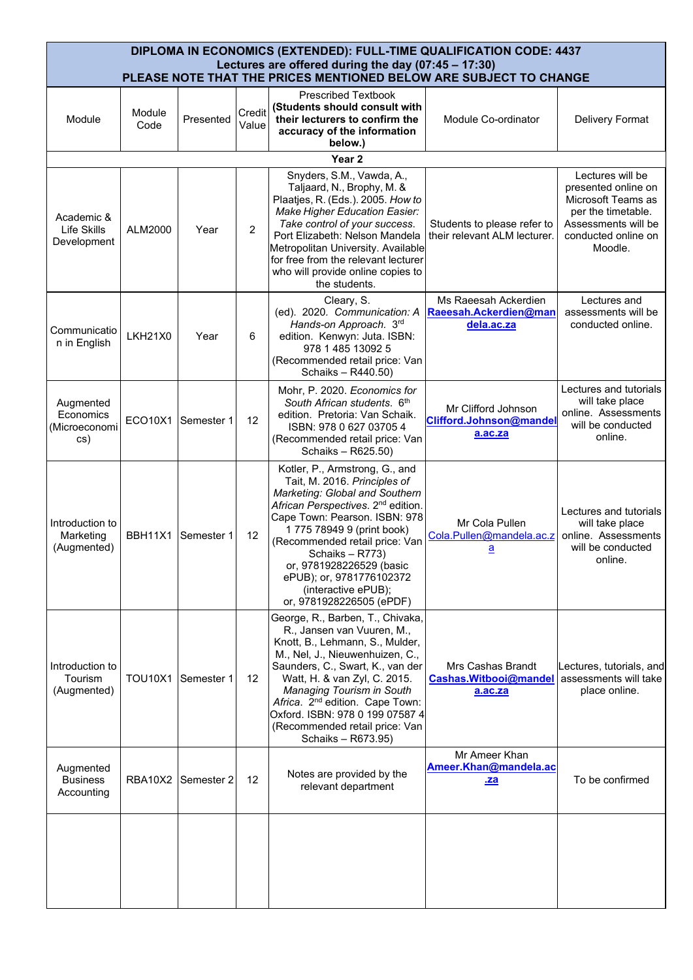| DIPLOMA IN ECONOMICS (EXTENDED): FULL-TIME QUALIFICATION CODE: 4437                                                      |                |             |                 |                                                                                                                                                                                                                                                                                                                                                                                   |                                                                       |                                                                                                                          |  |  |
|--------------------------------------------------------------------------------------------------------------------------|----------------|-------------|-----------------|-----------------------------------------------------------------------------------------------------------------------------------------------------------------------------------------------------------------------------------------------------------------------------------------------------------------------------------------------------------------------------------|-----------------------------------------------------------------------|--------------------------------------------------------------------------------------------------------------------------|--|--|
| Lectures are offered during the day (07:45 - 17:30)<br>PLEASE NOTE THAT THE PRICES MENTIONED BELOW ARE SUBJECT TO CHANGE |                |             |                 |                                                                                                                                                                                                                                                                                                                                                                                   |                                                                       |                                                                                                                          |  |  |
| Module                                                                                                                   | Module<br>Code | Presented   | Credit<br>Value | <b>Prescribed Textbook</b><br>(Students should consult with<br>their lecturers to confirm the<br>accuracy of the information<br>below.)<br>Year <sub>2</sub>                                                                                                                                                                                                                      | Module Co-ordinator                                                   | Delivery Format                                                                                                          |  |  |
| Snyders, S.M., Vawda, A.,<br>Lectures will be                                                                            |                |             |                 |                                                                                                                                                                                                                                                                                                                                                                                   |                                                                       |                                                                                                                          |  |  |
| Academic &<br>Life Skills<br>Development                                                                                 | ALM2000        | Year        | $\overline{2}$  | Taljaard, N., Brophy, M. &<br>Plaatjes, R. (Eds.). 2005. How to<br>Make Higher Education Easier:<br>Take control of your success.<br>Port Elizabeth: Nelson Mandela<br>Metropolitan University. Available<br>for free from the relevant lecturer<br>who will provide online copies to<br>the students.                                                                            | Students to please refer to<br>their relevant ALM lecturer.           | presented online on<br>Microsoft Teams as<br>per the timetable.<br>Assessments will be<br>conducted online on<br>Moodle. |  |  |
|                                                                                                                          |                |             |                 | Cleary, S.                                                                                                                                                                                                                                                                                                                                                                        | Ms Raeesah Ackerdien                                                  | Lectures and<br>assessments will be                                                                                      |  |  |
| Communicatio<br>n in English                                                                                             | <b>LKH21X0</b> | Year        | 6               | (ed). 2020. Communication: A<br>Hands-on Approach. 3rd<br>edition. Kenwyn: Juta. ISBN:<br>978 1 485 13092 5<br>(Recommended retail price: Van<br>Schaiks - R440.50)                                                                                                                                                                                                               | Raeesah.Ackerdien@man<br>dela.ac.za                                   | conducted online.                                                                                                        |  |  |
|                                                                                                                          |                |             |                 | Mohr, P. 2020. Economics for                                                                                                                                                                                                                                                                                                                                                      |                                                                       | Lectures and tutorials                                                                                                   |  |  |
| Augmented<br>Economics<br>(Microeconomi<br>cs)                                                                           | ECO10X1        | Semester 1  | 12              | South African students. 6th<br>edition. Pretoria: Van Schaik.<br>ISBN: 978 0 627 03705 4<br>(Recommended retail price: Van<br>Schaiks - R625.50)                                                                                                                                                                                                                                  | Mr Clifford Johnson<br>Clifford.Johnson@mandel<br>a.ac.za             | will take place<br>online. Assessments<br>will be conducted<br>online.                                                   |  |  |
| Introduction to<br>Marketing<br>(Augmented)                                                                              | BBH11X1        | Semester 1  | 12              | Kotler, P., Armstrong, G., and<br>Tait, M. 2016. Principles of<br>Marketing: Global and Southern<br>African Perspectives. 2 <sup>nd</sup> edition.<br>Cape Town: Pearson. ISBN: 978<br>1 775 78949 9 (print book)<br>(Recommended retail price: Van<br>Schaiks - R773)<br>or, 9781928226529 (basic<br>ePUB); or, 9781776102372<br>(interactive ePUB);<br>or, 9781928226505 (ePDF) | Mr Cola Pullen<br>Cola.Pullen@mandela.ac.z<br>$\overline{\mathbf{a}}$ | Lectures and tutorials<br>will take place<br>online. Assessments<br>will be conducted<br>online.                         |  |  |
| Introduction to<br>Tourism<br>(Augmented)                                                                                | <b>TOU10X1</b> | lSemester 1 | 12              | George, R., Barben, T., Chivaka,<br>R., Jansen van Vuuren, M.,<br>Knott, B., Lehmann, S., Mulder,<br>M., Nel, J., Nieuwenhuizen, C.,<br>Saunders, C., Swart, K., van der<br>Watt, H. & van Zyl, C. 2015.<br>Managing Tourism in South<br>Africa. 2 <sup>nd</sup> edition. Cape Town:<br>Oxford. ISBN: 978 0 199 07587 4<br>(Recommended retail price: Van<br>Schaiks - R673.95)   | Mrs Cashas Brandt<br>Cashas. Witbooi@mandel<br>a.ac.za                | Lectures, tutorials, and<br>assessments will take<br>place online.                                                       |  |  |
| Augmented<br><b>Business</b><br>Accounting                                                                               | <b>RBA10X2</b> | Semester 2  | 12              | Notes are provided by the<br>relevant department                                                                                                                                                                                                                                                                                                                                  | Mr Ameer Khan<br>Ameer.Khan@mandela.ac<br>.za                         | To be confirmed                                                                                                          |  |  |
|                                                                                                                          |                |             |                 |                                                                                                                                                                                                                                                                                                                                                                                   |                                                                       |                                                                                                                          |  |  |